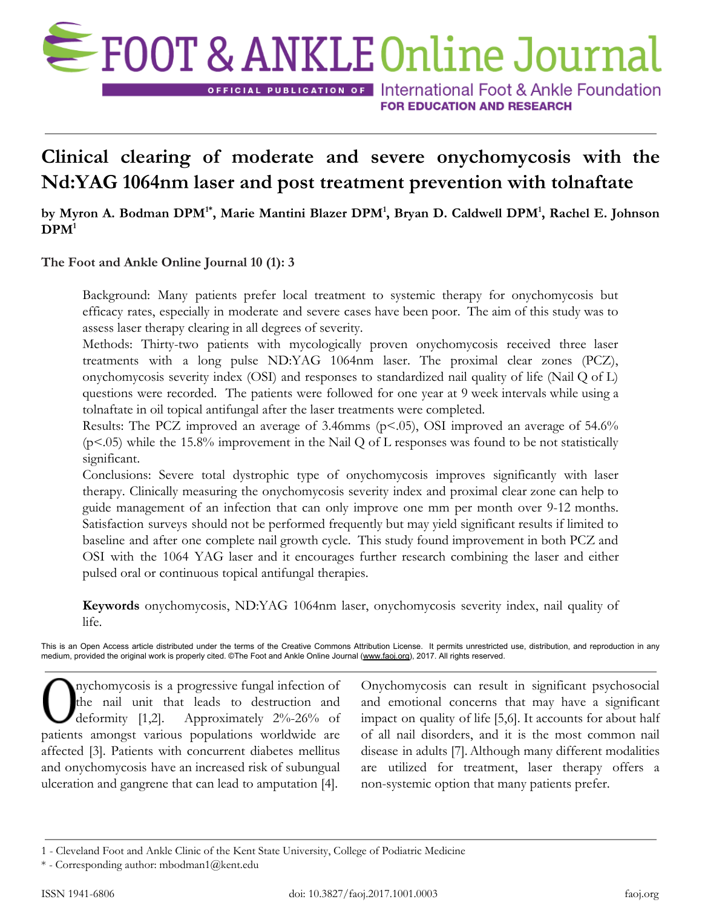

**OFFICIAL PUBLICATION OF International Foot & Ankle Foundation FOR EDUCATION AND RESEARCH** 

# **Clinical clearing of moderate and severe onychomycosis with the Nd:YAG 1064nm laser and post treatment prevention with tolnaftate**

# by Myron A. Bodman DPM<sup>1\*</sup>, Marie Mantini Blazer DPM<sup>1</sup>, Bryan D. Caldwell DPM<sup>1</sup>, Rachel E. Johnson  $DPM<sup>1</sup>$

## **The Foot and Ankle Online Journal 10 (1): 3**

Background: Many patients prefer local treatment to systemic therapy for onychomycosis but efficacy rates, especially in moderate and severe cases have been poor. The aim of this study was to assess laser therapy clearing in all degrees of severity.

Methods: Thirty-two patients with mycologically proven onychomycosis received three laser treatments with a long pulse ND:YAG 1064nm laser. The proximal clear zones (PCZ), onychomycosis severity index (OSI) and responses to standardized nail quality of life (Nail Q of L) questions were recorded. The patients were followed for one year at 9 week intervals while using a tolnaftate in oil topical antifungal after the laser treatments were completed.

Results: The PCZ improved an average of 3.46mms (p<.05), OSI improved an average of 54.6%  $(p<.05)$  while the 15.8% improvement in the Nail Q of L responses was found to be not statistically significant.

Conclusions: Severe total dystrophic type of onychomycosis improves significantly with laser therapy. Clinically measuring the onychomycosis severity index and proximal clear zone can help to guide management of an infection that can only improve one mm per month over 9-12 months. Satisfaction surveys should not be performed frequently but may yield significant results if limited to baseline and after one complete nail growth cycle. This study found improvement in both PCZ and OSI with the 1064 YAG laser and it encourages further research combining the laser and either pulsed oral or continuous topical antifungal therapies.

**Keywords** onychomycosis, ND:YAG 1064nm laser, onychomycosis severity index, nail quality of life.

This is an Open Access article distributed under the terms of the Creative Commons Attribution License. It permits unrestricted use, distribution, and reproduction in any medium, provided the original work is properly cited. ©The Foot and Ankle Online Journal [\(www.faoj.org\)](http://www.faoj.org/), 2017. All rights reserved.

nychomycosis is a progressive fungal infection of the nail unit that leads to destruction and deformity [1,2]. Approximately  $2\%$ -26% of patients amongst various populations worldwide are affected [3]. Patients with concurrent diabetes mellitus and onychomycosis have an increased risk of subungual ulceration and gangrene that can lead to amputation [4].

Onychomycosis can result in significant psychosocial and emotional concerns that may have a significant impact on quality of life [5,6]. It accounts for about half of all nail disorders, and it is the most common nail disease in adults [7].Although many different modalities are utilized for treatment, laser therapy offers a non-systemic option that many patients prefer.

<sup>1</sup> - Cleveland Foot and Ankle Clinic of the Kent State University, College of Podiatric Medicine

<sup>\*</sup> - Corresponding author: mbodman1@kent.edu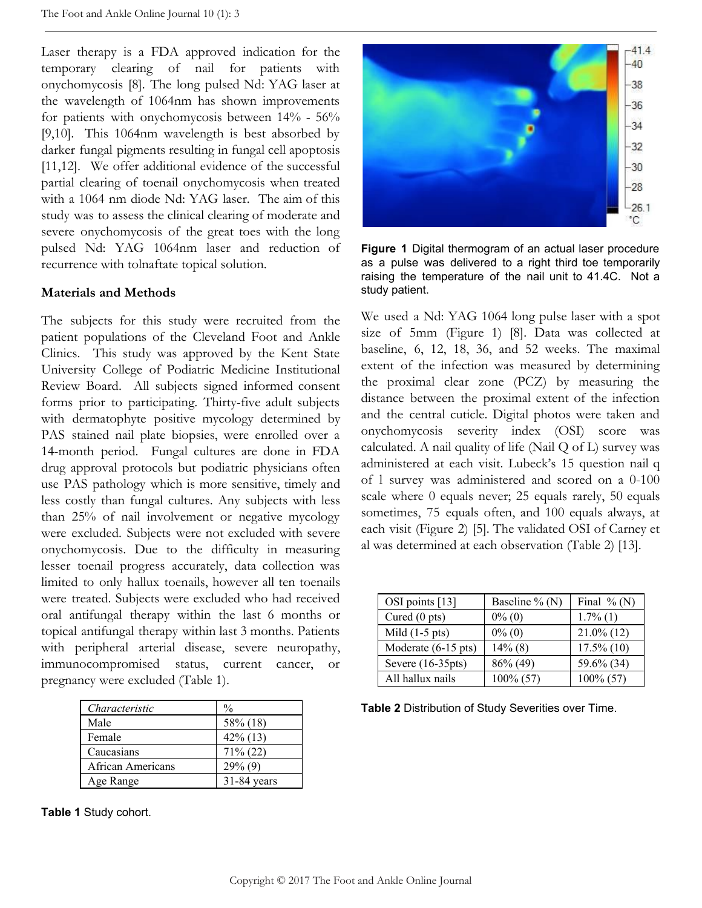Laser therapy is a FDA approved indication for the temporary clearing of nail for patients with onychomycosis [8]. The long pulsed Nd: YAG laser at the wavelength of 1064nm has shown improvements for patients with onychomycosis between 14% - 56% [9,10]. This 1064nm wavelength is best absorbed by darker fungal pigments resulting in fungal cell apoptosis [11,12]. We offer additional evidence of the successful partial clearing of toenail onychomycosis when treated with a 1064 nm diode Nd: YAG laser. The aim of this study was to assess the clinical clearing of moderate and severe onychomycosis of the great toes with the long pulsed Nd: YAG 1064nm laser and reduction of recurrence with tolnaftate topical solution.

#### **Materials and Methods**

The subjects for this study were recruited from the patient populations of the Cleveland Foot and Ankle Clinics. This study was approved by the Kent State University College of Podiatric Medicine Institutional Review Board. All subjects signed informed consent forms prior to participating. Thirty-five adult subjects with dermatophyte positive mycology determined by PAS stained nail plate biopsies, were enrolled over a 14-month period. Fungal cultures are done in FDA drug approval protocols but podiatric physicians often use PAS pathology which is more sensitive, timely and less costly than fungal cultures. Any subjects with less than 25% of nail involvement or negative mycology were excluded. Subjects were not excluded with severe onychomycosis. Due to the difficulty in measuring lesser toenail progress accurately, data collection was limited to only hallux toenails, however all ten toenails were treated. Subjects were excluded who had received oral antifungal therapy within the last 6 months or topical antifungal therapy within last 3 months. Patients with peripheral arterial disease, severe neuropathy, immunocompromised status, current cancer, or pregnancy were excluded (Table 1).

| Characteristic    | $\frac{0}{0}$ |
|-------------------|---------------|
| Male              | 58% (18)      |
| Female            | $42\%$ (13)   |
| Caucasians        | $71\% (22)$   |
| African Americans | $29\%$ (9)    |
| Age Range         | $31-84$ years |

**Table 1** Study cohort.



**Figure 1** Digital thermogram of an actual laser procedure as a pulse was delivered to a right third toe temporarily raising the temperature of the nail unit to 41.4C. Not a study patient.

We used a Nd: YAG 1064 long pulse laser with a spot size of 5mm (Figure 1) [8]. Data was collected at baseline, 6, 12, 18, 36, and 52 weeks. The maximal extent of the infection was measured by determining the proximal clear zone (PCZ) by measuring the distance between the proximal extent of the infection and the central cuticle. Digital photos were taken and onychomycosis severity index (OSI) score was calculated. A nail quality of life (Nail Q of L) survey was administered at each visit. Lubeck's 15 question nail q of l survey was administered and scored on a 0-100 scale where 0 equals never; 25 equals rarely, 50 equals sometimes, 75 equals often, and 100 equals always, at each visit (Figure 2) [5]. The validated OSI of Carney et al was determined at each observation (Table 2) [13].

| OSI points [13]               | Baseline % $(N)$ | Final $\%$ (N) |
|-------------------------------|------------------|----------------|
| Cured (0 pts)                 | $0\%$ (0)        | $1.7\%$ (1)    |
| Mild $(1-5$ pts)              | $0\%$ (0)        | $21.0\%$ (12)  |
| Moderate $(6-15 \text{ pts})$ | $14\%$ (8)       | $17.5\%$ (10)  |
| Severe $(16-35pts)$           | 86% (49)         | 59.6% (34)     |
| All hallux nails              | 100% (57)        | $100\% (57)$   |

**Table 2** Distribution of Study Severities over Time.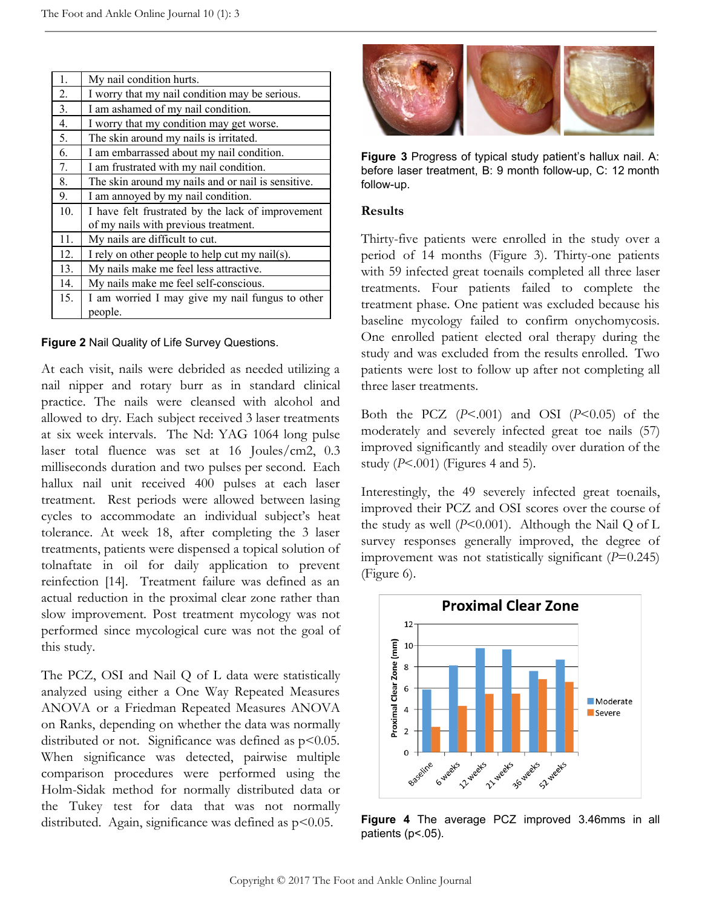| 1.               | My nail condition hurts.                           |
|------------------|----------------------------------------------------|
| $\overline{2}$ . | I worry that my nail condition may be serious.     |
| 3.               | I am ashamed of my nail condition.                 |
| $\overline{4}$ . | I worry that my condition may get worse.           |
| 5.               | The skin around my nails is irritated.             |
| 6.               | I am embarrassed about my nail condition.          |
| 7.               | I am frustrated with my nail condition.            |
| 8.               | The skin around my nails and or nail is sensitive. |
| 9.               | I am annoyed by my nail condition.                 |
| 10.              | I have felt frustrated by the lack of improvement  |
|                  | of my nails with previous treatment.               |
| 11.              | My nails are difficult to cut.                     |
| 12.              | I rely on other people to help cut my nail(s).     |
| 13.              | My nails make me feel less attractive.             |
| 14.              | My nails make me feel self-conscious.              |
| 15.              | I am worried I may give my nail fungus to other    |
|                  | people.                                            |

### **Figure 2** Nail Quality of Life Survey Questions.

At each visit, nails were debrided as needed utilizing a nail nipper and rotary burr as in standard clinical practice. The nails were cleansed with alcohol and allowed to dry. Each subject received 3 laser treatments at six week intervals. The Nd: YAG 1064 long pulse laser total fluence was set at 16 Joules/cm2, 0.3 milliseconds duration and two pulses per second. Each hallux nail unit received 400 pulses at each laser treatment. Rest periods were allowed between lasing cycles to accommodate an individual subject's heat tolerance. At week 18, after completing the 3 laser treatments, patients were dispensed a topical solution of tolnaftate in oil for daily application to prevent reinfection [14]. Treatment failure was defined as an actual reduction in the proximal clear zone rather than slow improvement. Post treatment mycology was not performed since mycological cure was not the goal of this study.

The PCZ, OSI and Nail Q of L data were statistically analyzed using either a One Way Repeated Measures ANOVA or a Friedman Repeated Measures ANOVA on Ranks, depending on whether the data was normally distributed or not. Significance was defined as  $p<0.05$ . When significance was detected, pairwise multiple comparison procedures were performed using the Holm-Sidak method for normally distributed data or the Tukey test for data that was not normally distributed. Again, significance was defined as  $p$ <0.05.



**Figure 3** Progress of typical study patient's hallux nail. A: before laser treatment, B: 9 month follow-up, C: 12 month follow-up.

#### **Results**

Thirty-five patients were enrolled in the study over a period of 14 months (Figure 3). Thirty-one patients with 59 infected great toenails completed all three laser treatments. Four patients failed to complete the treatment phase. One patient was excluded because his baseline mycology failed to confirm onychomycosis. One enrolled patient elected oral therapy during the study and was excluded from the results enrolled. Two patients were lost to follow up after not completing all three laser treatments.

Both the PCZ  $(P<.001)$  and OSI  $(P<.005)$  of the moderately and severely infected great toe nails (57) improved significantly and steadily over duration of the study (*P*<.001) (Figures 4 and 5).

Interestingly, the 49 severely infected great toenails, improved their PCZ and OSI scores over the course of the study as well  $(P<0.001)$ . Although the Nail Q of L survey responses generally improved, the degree of improvement was not statistically significant (*P*=0.245) (Figure 6).



**Figure 4** The average PCZ improved 3.46mms in all patients  $(p<.05)$ .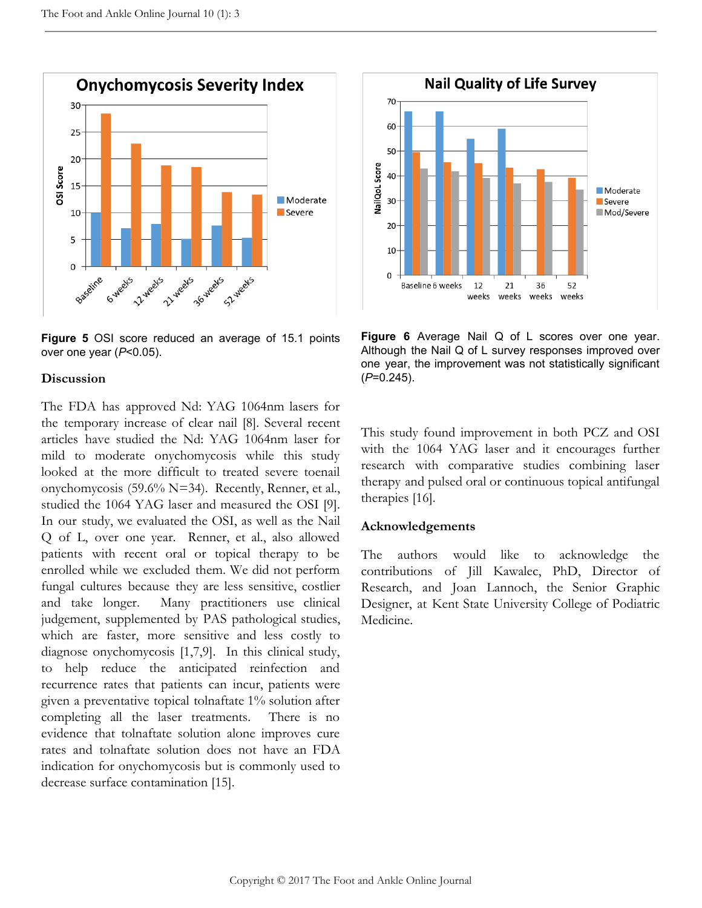

**Figure 5** OSI score reduced an average of 15.1 points over one year (*P*<0.05).

#### **Discussion**

The FDA has approved Nd: YAG 1064nm lasers for the temporary increase of clear nail [8]. Several recent articles have studied the Nd: YAG 1064nm laser for mild to moderate onychomycosis while this study looked at the more difficult to treated severe toenail onychomycosis (59.6% N=34). Recently, Renner, et al., studied the 1064 YAG laser and measured the OSI [9]. In our study, we evaluated the OSI, as well as the Nail Q of L, over one year. Renner, et al., also allowed patients with recent oral or topical therapy to be enrolled while we excluded them. We did not perform fungal cultures because they are less sensitive, costlier and take longer. Many practitioners use clinical judgement, supplemented by PAS pathological studies, which are faster, more sensitive and less costly to diagnose onychomycosis [1,7,9]. In this clinical study, to help reduce the anticipated reinfection and recurrence rates that patients can incur, patients were given a preventative topical tolnaftate 1% solution after completing all the laser treatments. There is no evidence that tolnaftate solution alone improves cure rates and tolnaftate solution does not have an FDA indication for onychomycosis but is commonly used to decrease surface contamination [15].



**Figure 6** Average Nail Q of L scores over one year. Although the Nail Q of L survey responses improved over one year, the improvement was not statistically significant (*P*=0.245).

This study found improvement in both PCZ and OSI with the 1064 YAG laser and it encourages further research with comparative studies combining laser therapy and pulsed oral or continuous topical antifungal therapies [16].

#### **Acknowledgements**

The authors would like to acknowledge the contributions of Jill Kawalec, PhD, Director of Research, and Joan Lannoch, the Senior Graphic Designer, at Kent State University College of Podiatric Medicine.